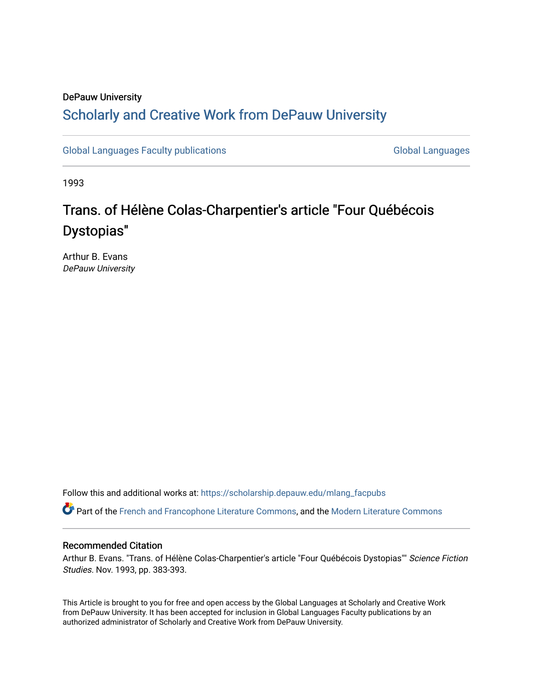# DePauw University Scholarly and [Creative Work from DePauw Univ](https://scholarship.depauw.edu/)ersity

[Global Languages Faculty publications](https://scholarship.depauw.edu/mlang_facpubs) [Global Languages](https://scholarship.depauw.edu/modernlanguages) Global Languages

1993

# Trans. of Hélène Colas-Charpentier's article "Four Québécois Dystopias"

Arthur B. Evans DePauw University

Follow this and additional works at: [https://scholarship.depauw.edu/mlang\\_facpubs](https://scholarship.depauw.edu/mlang_facpubs?utm_source=scholarship.depauw.edu%2Fmlang_facpubs%2F20&utm_medium=PDF&utm_campaign=PDFCoverPages)

Part of the [French and Francophone Literature Commons,](https://network.bepress.com/hgg/discipline/465?utm_source=scholarship.depauw.edu%2Fmlang_facpubs%2F20&utm_medium=PDF&utm_campaign=PDFCoverPages) and the [Modern Literature Commons](https://network.bepress.com/hgg/discipline/1050?utm_source=scholarship.depauw.edu%2Fmlang_facpubs%2F20&utm_medium=PDF&utm_campaign=PDFCoverPages)

## Recommended Citation

Arthur B. Evans. "Trans. of Hélène Colas-Charpentier's article "Four Québécois Dystopias"" Science Fiction Studies. Nov. 1993, pp. 383-393.

This Article is brought to you for free and open access by the Global Languages at Scholarly and Creative Work from DePauw University. It has been accepted for inclusion in Global Languages Faculty publications by an authorized administrator of Scholarly and Creative Work from DePauw University.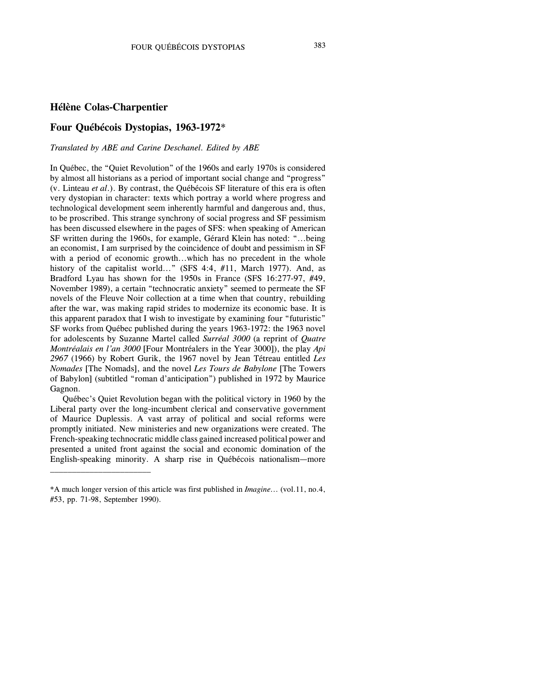#### **Hélène Colas-Charpentier**

\_\_\_\_\_\_\_\_\_\_\_\_\_\_\_\_\_\_\_\_\_\_\_

### **Four Québécois Dystopias, 1963-1972**\*

#### *Translated by ABE and Carine Deschanel. Edited by ABE*

In Québec, the "Quiet Revolution" of the 1960s and early 1970s is considered by almost all historians as a period of important social change and "progress" (v. Linteau *et al*.). By contrast, the Québécois SF literature of this era is often very dystopian in character: texts which portray a world where progress and technological development seem inherently harmful and dangerous and, thus, to be proscribed. This strange synchrony of social progress and SF pessimism has been discussed elsewhere in the pages of SFS: when speaking of American SF written during the 1960s, for example, Gérard Klein has noted: "...being an economist, I am surprised by the coincidence of doubt and pessimism in SF with a period of economic growth...which has no precedent in the whole history of the capitalist world..." (SFS 4:4, #11, March 1977). And, as Bradford Lyau has shown for the 1950s in France (SFS 16:277-97, #49, November 1989), a certain "technocratic anxiety" seemed to permeate the SF novels of the Fleuve Noir collection at a time when that country, rebuilding after the war, was making rapid strides to modernize its economic base. It is this apparent paradox that I wish to investigate by examining four "futuristic" SF works from Québec published during the years 1963-1972: the 1963 novel for adolescents by Suzanne Martel called *Surréal 3000* (a reprint of *Quatre Montréalais en l'an 3000* [Four Montréalers in the Year 3000]), the play *Api 2967* (1966) by Robert Gurik, the 1967 novel by Jean Tétreau entitled *Les Nomades* [The Nomads], and the novel *Les Tours de Babylone* [The Towers of Babylon] (subtitled "roman d'anticipation") published in 1972 by Maurice Gagnon.

Québec's Quiet Revolution began with the political victory in 1960 by the Liberal party over the long-incumbent clerical and conservative government of Maurice Duplessis. A vast array of political and social reforms were promptly initiated. New ministeries and new organizations were created. The French-speaking technocratic middle class gained increased political power and presented a united front against the social and economic domination of the English-speaking minority. A sharp rise in Québécois nationalism—more

<sup>\*</sup>A much longer version of this article was first published in *Imagine...* (vol.11, no.4, #53, pp. 71-98, September 1990).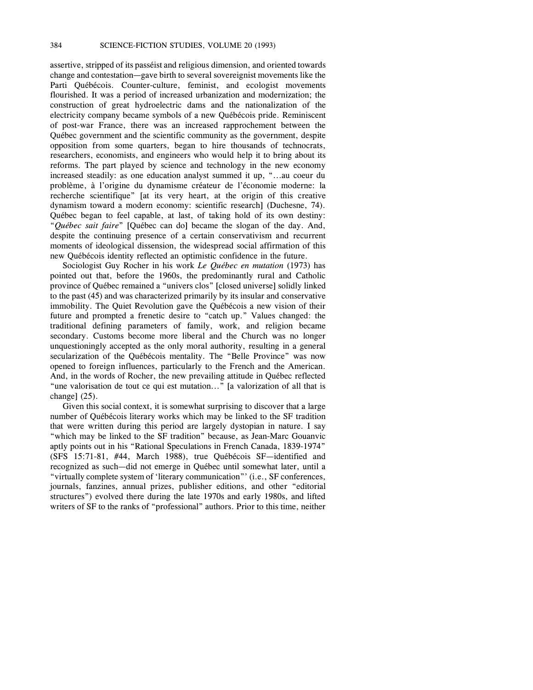assertive, stripped of its passéist and religious dimension, and oriented towards change and contestation—gave birth to several sovereignist movements like the Parti Québécois. Counter-culture, feminist, and ecologist movements flourished. It was a period of increased urbanization and modernization; the construction of great hydroelectric dams and the nationalization of the electricity company became symbols of a new Québécois pride. Reminiscent of post-war France, there was an increased rapprochement between the Québec government and the scientific community as the government, despite opposition from some quarters, began to hire thousands of technocrats, researchers, economists, and engineers who would help it to bring about its reforms. The part played by science and technology in the new economy increased steadily: as one education analyst summed it up, "...au coeur du problème, à l'origine du dynamisme créateur de l'économie moderne: la recherche scientifique" [at its very heart, at the origin of this creative dynamism toward a modern economy: scientific research] (Duchesne, 74). Québec began to feel capable, at last, of taking hold of its own destiny: "*Québec sait faire*" [Québec can do] became the slogan of the day. And, despite the continuing presence of a certain conservativism and recurrent moments of ideological dissension, the widespread social affirmation of this new Québécois identity reflected an optimistic confidence in the future.

Sociologist Guy Rocher in his work *Le Québec en mutation* (1973) has pointed out that, before the 1960s, the predominantly rural and Catholic province of Québec remained a "univers clos" [closed universe] solidly linked to the past (45) and was characterized primarily by its insular and conservative immobility. The Quiet Revolution gave the Québécois a new vision of their future and prompted a frenetic desire to "catch up." Values changed: the traditional defining parameters of family, work, and religion became secondary. Customs become more liberal and the Church was no longer unquestioningly accepted as the only moral authority, resulting in a general secularization of the Québécois mentality. The "Belle Province" was now opened to foreign influences, particularly to the French and the American. And, in the words of Rocher, the new prevailing attitude in Québec reflected "une valorisation de tout ce qui est mutation..." [a valorization of all that is change] (25).

Given this social context, it is somewhat surprising to discover that a large number of Québécois literary works which may be linked to the SF tradition that were written during this period are largely dystopian in nature. I say "which may be linked to the SF tradition" because, as Jean-Marc Gouanvic aptly points out in his "Rational Speculations in French Canada, 1839-1974" (SFS 15:71-81, #44, March 1988), true Québécois SF—identified and recognized as such—did not emerge in Québec until somewhat later, until a "virtually complete system of 'literary communication"' (i.e., SF conferences, journals, fanzines, annual prizes, publisher editions, and other "editorial structures") evolved there during the late 1970s and early 1980s, and lifted writers of SF to the ranks of "professional" authors. Prior to this time, neither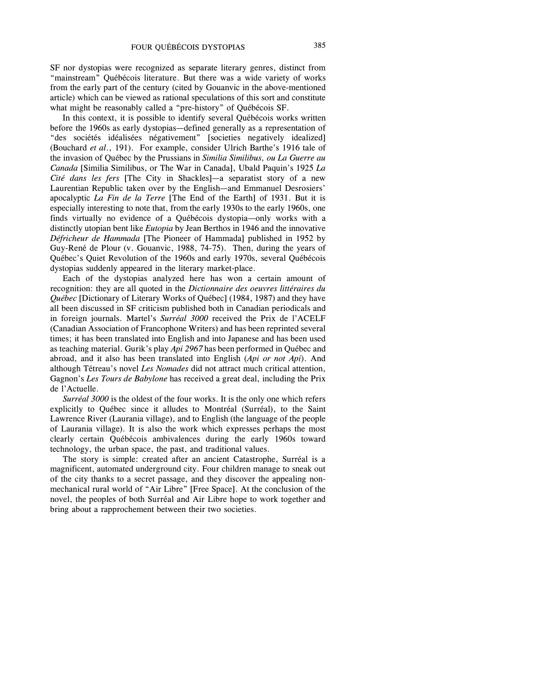SF nor dystopias were recognized as separate literary genres, distinct from "mainstream" Québécois literature. But there was a wide variety of works from the early part of the century (cited by Gouanvic in the above-mentioned article) which can be viewed as rational speculations of this sort and constitute what might be reasonably called a "pre-history" of Québécois SF.

In this context, it is possible to identify several Québécois works written before the 1960s as early dystopias—defined generally as a representation of "des sociétés idéalisées négativement" [societies negatively idealized] (Bouchard *et al*., 191). For example, consider Ulrich Barthe's 1916 tale of the invasion of Québec by the Prussians in *Similia Similibus, ou La Guerre au Canada* [Similia Similibus, or The War in Canada], Ubald Paquin's 1925 *La Cité dans les fers* [The City in Shackles]—a separatist story of a new Laurentian Republic taken over by the English—and Emmanuel Desrosiers' apocalyptic *La Fin de la Terre* [The End of the Earth] of 1931. But it is especially interesting to note that, from the early 1930s to the early 1960s, one finds virtually no evidence of a Québécois dystopia—only works with a distinctly utopian bent like *Eutopia* by Jean Berthos in 1946 and the innovative *Défricheur de Hammada* [The Pioneer of Hammada] published in 1952 by Guy-René de Plour (v. Gouanvic, 1988, 74-75). Then, during the years of Québec's Quiet Revolution of the 1960s and early 1970s, several Québécois dystopias suddenly appeared in the literary market-place.

Each of the dystopias analyzed here has won a certain amount of recognition: they are all quoted in the *Dictionnaire des oeuvres littéraires du Québec* [Dictionary of Literary Works of Québec] (1984, 1987) and they have all been discussed in SF criticism published both in Canadian periodicals and in foreign journals. Martel's *Surréal 3000* received the Prix de l'ACELF (Canadian Association of Francophone Writers) and has been reprinted several times; it has been translated into English and into Japanese and has been used as teaching material. Gurik's play *Api 2967* has been performed in Québec and abroad, and it also has been translated into English (*Api or not Api*). And although Tétreau's novel *Les Nomades* did not attract much critical attention, Gagnon's *Les Tours de Babylone* has received a great deal, including the Prix de l'Actuelle.

*Surréal 3000* is the oldest of the four works. It is the only one which refers explicitly to Québec since it alludes to Montréal (Surréal), to the Saint Lawrence River (Laurania village), and to English (the language of the people of Laurania village). It is also the work which expresses perhaps the most clearly certain Québécois ambivalences during the early 1960s toward technology, the urban space, the past, and traditional values.

The story is simple: created after an ancient Catastrophe, Surréal is a magnificent, automated underground city. Four children manage to sneak out of the city thanks to a secret passage, and they discover the appealing nonmechanical rural world of "Air Libre" [Free Space]. At the conclusion of the novel, the peoples of both Surréal and Air Libre hope to work together and bring about a rapprochement between their two societies.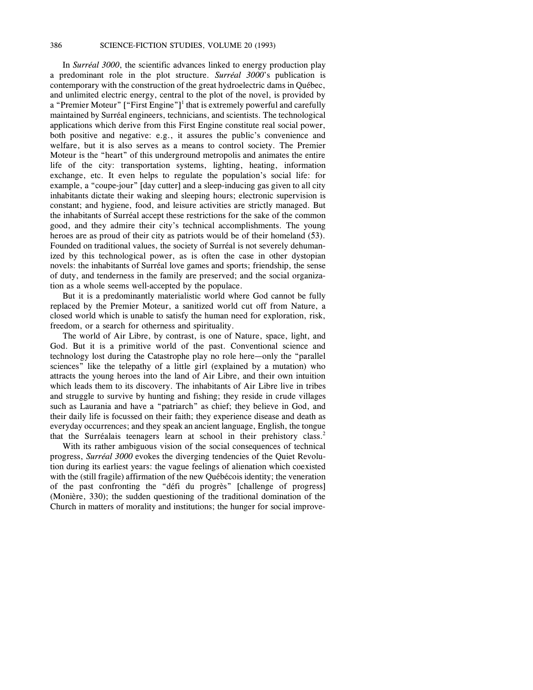In *Surréal 3000*, the scientific advances linked to energy production play a predominant role in the plot structure. *Surréal 3000*'s publication is contemporary with the construction of the great hydroelectric dams in Québec, and unlimited electric energy, central to the plot of the novel, is provided by a "Premier Moteur" ["First Engine"]<sup>1</sup> that is extremely powerful and carefully maintained by Surréal engineers, technicians, and scientists. The technological applications which derive from this First Engine constitute real social power, both positive and negative: e.g., it assures the public's convenience and welfare, but it is also serves as a means to control society. The Premier Moteur is the "heart" of this underground metropolis and animates the entire life of the city: transportation systems, lighting, heating, information exchange, etc. It even helps to regulate the population's social life: for example, a "coupe-jour" [day cutter] and a sleep-inducing gas given to all city inhabitants dictate their waking and sleeping hours; electronic supervision is constant; and hygiene, food, and leisure activities are strictly managed. But the inhabitants of Surréal accept these restrictions for the sake of the common good, and they admire their city's technical accomplishments. The young heroes are as proud of their city as patriots would be of their homeland (53). Founded on traditional values, the society of Surréal is not severely dehumanized by this technological power, as is often the case in other dystopian novels: the inhabitants of Surréal love games and sports; friendship, the sense of duty, and tenderness in the family are preserved; and the social organization as a whole seems well-accepted by the populace.

But it is a predominantly materialistic world where God cannot be fully replaced by the Premier Moteur, a sanitized world cut off from Nature, a closed world which is unable to satisfy the human need for exploration, risk, freedom, or a search for otherness and spirituality.

The world of Air Libre, by contrast, is one of Nature, space, light, and God. But it is a primitive world of the past. Conventional science and technology lost during the Catastrophe play no role here—only the "parallel sciences" like the telepathy of a little girl (explained by a mutation) who attracts the young heroes into the land of Air Libre, and their own intuition which leads them to its discovery. The inhabitants of Air Libre live in tribes and struggle to survive by hunting and fishing; they reside in crude villages such as Laurania and have a "patriarch" as chief; they believe in God, and their daily life is focussed on their faith; they experience disease and death as everyday occurrences; and they speak an ancient language, English, the tongue that the Surréalais teenagers learn at school in their prehistory class.<sup>2</sup>

With its rather ambiguous vision of the social consequences of technical progress, *Surréal 3000* evokes the diverging tendencies of the Quiet Revolution during its earliest years: the vague feelings of alienation which coexisted with the (still fragile) affirmation of the new Québécois identity; the veneration of the past confronting the "défi du progrès" [challenge of progress] (Monière, 330); the sudden questioning of the traditional domination of the Church in matters of morality and institutions; the hunger for social improve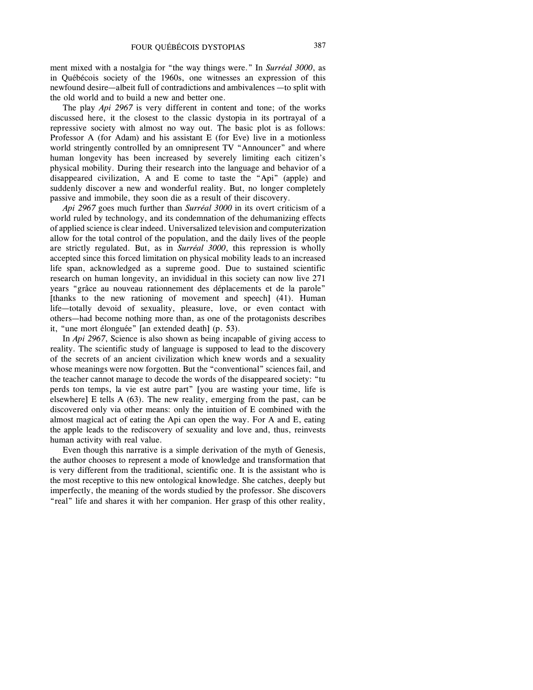ment mixed with a nostalgia for "the way things were." In *Surréal 3000*, as in Québécois society of the 1960s, one witnesses an expression of this newfound desire—albeit full of contradictions and ambivalences —to split with the old world and to build a new and better one.

The play *Api 2967* is very different in content and tone; of the works discussed here, it the closest to the classic dystopia in its portrayal of a repressive society with almost no way out. The basic plot is as follows: Professor A (for Adam) and his assistant E (for Eve) live in a motionless world stringently controlled by an omnipresent TV "Announcer" and where human longevity has been increased by severely limiting each citizen's physical mobility. During their research into the language and behavior of a disappeared civilization, A and E come to taste the "Api" (apple) and suddenly discover a new and wonderful reality. But, no longer completely passive and immobile, they soon die as a result of their discovery.

*Api 2967* goes much further than *Surréal 3000* in its overt criticism of a world ruled by technology, and its condemnation of the dehumanizing effects of applied science is clear indeed. Universalized television and computerization allow for the total control of the population, and the daily lives of the people are strictly regulated. But, as in *Surréal 3000*, this repression is wholly accepted since this forced limitation on physical mobility leads to an increased life span, acknowledged as a supreme good. Due to sustained scientific research on human longevity, an invididual in this society can now live 271 years "grâce au nouveau rationnement des déplacements et de la parole" [thanks to the new rationing of movement and speech] (41). Human life—totally devoid of sexuality, pleasure, love, or even contact with others—had become nothing more than, as one of the protagonists describes it, "une mort élonguée" [an extended death] (p. 53).

In *Api 2967*, Science is also shown as being incapable of giving access to reality. The scientific study of language is supposed to lead to the discovery of the secrets of an ancient civilization which knew words and a sexuality whose meanings were now forgotten. But the "conventional" sciences fail, and the teacher cannot manage to decode the words of the disappeared society: "tu perds ton temps, la vie est autre part" [you are wasting your time, life is elsewhere] E tells A (63). The new reality, emerging from the past, can be discovered only via other means: only the intuition of E combined with the almost magical act of eating the Api can open the way. For A and E, eating the apple leads to the rediscovery of sexuality and love and, thus, reinvests human activity with real value.

Even though this narrative is a simple derivation of the myth of Genesis, the author chooses to represent a mode of knowledge and transformation that is very different from the traditional, scientific one. It is the assistant who is the most receptive to this new ontological knowledge. She catches, deeply but imperfectly, the meaning of the words studied by the professor. She discovers "real" life and shares it with her companion. Her grasp of this other reality,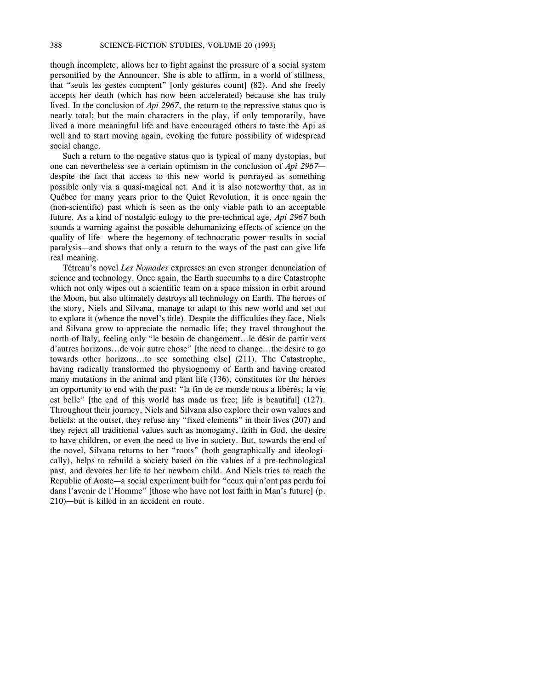though incomplete, allows her to fight against the pressure of a social system personified by the Announcer. She is able to affirm, in a world of stillness, that "seuls les gestes comptent" [only gestures count] (82). And she freely accepts her death (which has now been accelerated) because she has truly lived. In the conclusion of *Api 2967*, the return to the repressive status quo is nearly total; but the main characters in the play, if only temporarily, have lived a more meaningful life and have encouraged others to taste the Api as well and to start moving again, evoking the future possibility of widespread social change.

Such a return to the negative status quo is typical of many dystopias, but one can nevertheless see a certain optimism in the conclusion of *Api 2967* despite the fact that access to this new world is portrayed as something possible only via a quasi-magical act. And it is also noteworthy that, as in Québec for many years prior to the Quiet Revolution, it is once again the (non-scientific) past which is seen as the only viable path to an acceptable future. As a kind of nostalgic eulogy to the pre-technical age, *Api 2967* both sounds a warning against the possible dehumanizing effects of science on the quality of life—where the hegemony of technocratic power results in social paralysis—and shows that only a return to the ways of the past can give life real meaning.

Tétreau's novel *Les Nomades* expresses an even stronger denunciation of science and technology. Once again, the Earth succumbs to a dire Catastrophe which not only wipes out a scientific team on a space mission in orbit around the Moon, but also ultimately destroys all technology on Earth. The heroes of the story, Niels and Silvana, manage to adapt to this new world and set out to explore it (whence the novel's title). Despite the difficulties they face, Niels and Silvana grow to appreciate the nomadic life; they travel throughout the north of Italy, feeling only "le besoin de changement...le désir de partir vers d'autres horizons...de voir autre chose" [the need to change...the desire to go towards other horizons...to see something else] (211). The Catastrophe, having radically transformed the physiognomy of Earth and having created many mutations in the animal and plant life (136), constitutes for the heroes an opportunity to end with the past: "la fin de ce monde nous a libérés; la vie est belle" [the end of this world has made us free; life is beautiful] (127). Throughout their journey, Niels and Silvana also explore their own values and beliefs: at the outset, they refuse any "fixed elements" in their lives (207) and they reject all traditional values such as monogamy, faith in God, the desire to have children, or even the need to live in society. But, towards the end of the novel, Silvana returns to her "roots" (both geographically and ideologically), helps to rebuild a society based on the values of a pre-technological past, and devotes her life to her newborn child. And Niels tries to reach the Republic of Aoste—a social experiment built for "ceux qui n'ont pas perdu foi dans l'avenir de l'Homme" [those who have not lost faith in Man's future] (p. 210)—but is killed in an accident en route.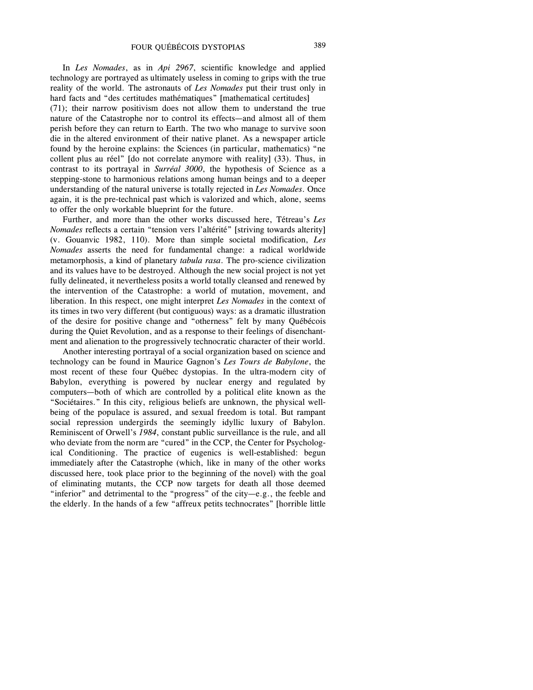In *Les Nomades*, as in *Api 2967*, scientific knowledge and applied technology are portrayed as ultimately useless in coming to grips with the true reality of the world. The astronauts of *Les Nomades* put their trust only in hard facts and "des certitudes mathématiques" [mathematical certitudes]

(71); their narrow positivism does not allow them to understand the true nature of the Catastrophe nor to control its effects—and almost all of them perish before they can return to Earth. The two who manage to survive soon die in the altered environment of their native planet. As a newspaper article found by the heroine explains: the Sciences (in particular, mathematics) "ne collent plus au réel" [do not correlate anymore with reality] (33). Thus, in contrast to its portrayal in *Surréal 3000*, the hypothesis of Science as a stepping-stone to harmonious relations among human beings and to a deeper understanding of the natural universe is totally rejected in *Les Nomades*. Once again, it is the pre-technical past which is valorized and which, alone, seems to offer the only workable blueprint for the future.

Further, and more than the other works discussed here, Tétreau's *Les Nomades* reflects a certain "tension vers l'altérité" [striving towards alterity] (v. Gouanvic 1982, 110). More than simple societal modification, *Les Nomades* asserts the need for fundamental change: a radical worldwide metamorphosis, a kind of planetary *tabula rasa*. The pro-science civilization and its values have to be destroyed. Although the new social project is not yet fully delineated, it nevertheless posits a world totally cleansed and renewed by the intervention of the Catastrophe: a world of mutation, movement, and liberation. In this respect, one might interpret *Les Nomades* in the context of its times in two very different (but contiguous) ways: as a dramatic illustration of the desire for positive change and "otherness" felt by many Québécois during the Quiet Revolution, and as a response to their feelings of disenchantment and alienation to the progressively technocratic character of their world.

Another interesting portrayal of a social organization based on science and technology can be found in Maurice Gagnon's *Les Tours de Babylone*, the most recent of these four Québec dystopias. In the ultra-modern city of Babylon, everything is powered by nuclear energy and regulated by computers—both of which are controlled by a political elite known as the "Sociétaires." In this city, religious beliefs are unknown, the physical wellbeing of the populace is assured, and sexual freedom is total. But rampant social repression undergirds the seemingly idyllic luxury of Babylon. Reminiscent of Orwell's *1984*, constant public surveillance is the rule, and all who deviate from the norm are "cured" in the CCP, the Center for Psychological Conditioning. The practice of eugenics is well-established: begun immediately after the Catastrophe (which, like in many of the other works discussed here, took place prior to the beginning of the novel) with the goal of eliminating mutants, the CCP now targets for death all those deemed "inferior" and detrimental to the "progress" of the city—e.g., the feeble and the elderly. In the hands of a few "affreux petits technocrates" [horrible little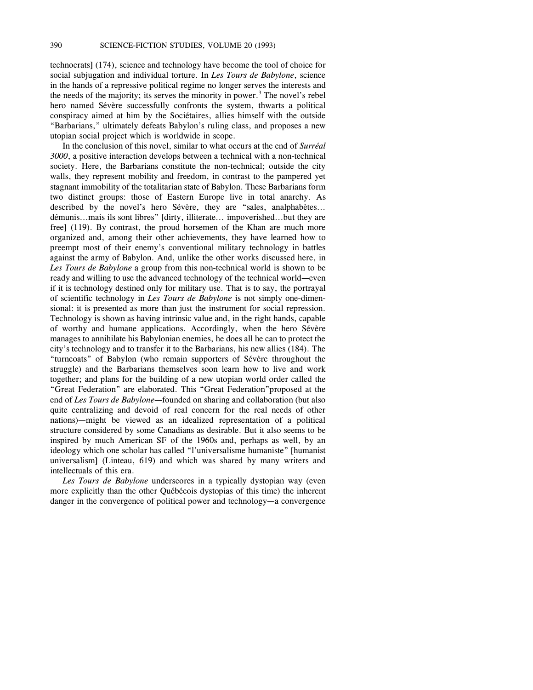technocrats] (174), science and technology have become the tool of choice for social subjugation and individual torture. In *Les Tours de Babylone*, science in the hands of a repressive political regime no longer serves the interests and the needs of the majority; its serves the minority in power.<sup>3</sup> The novel's rebel hero named Sévère successfully confronts the system, thwarts a political conspiracy aimed at him by the Sociétaires, allies himself with the outside "Barbarians," ultimately defeats Babylon's ruling class, and proposes a new utopian social project which is worldwide in scope.

In the conclusion of this novel, similar to what occurs at the end of *Surréal 3000*, a positive interaction develops between a technical with a non-technical society. Here, the Barbarians constitute the non-technical; outside the city walls, they represent mobility and freedom, in contrast to the pampered yet stagnant immobility of the totalitarian state of Babylon. These Barbarians form two distinct groups: those of Eastern Europe live in total anarchy. As described by the novel's hero Sévère, they are "sales, analphabètes... démunis...mais ils sont libres" [dirty, illiterate... impoverished...but they are free] (119). By contrast, the proud horsemen of the Khan are much more organized and, among their other achievements, they have learned how to preempt most of their enemy's conventional military technology in battles against the army of Babylon. And, unlike the other works discussed here, in *Les Tours de Babylone* a group from this non-technical world is shown to be ready and willing to use the advanced technology of the technical world—even if it is technology destined only for military use. That is to say, the portrayal of scientific technology in *Les Tours de Babylone* is not simply one-dimensional: it is presented as more than just the instrument for social repression. Technology is shown as having intrinsic value and, in the right hands, capable of worthy and humane applications. Accordingly, when the hero Sévère manages to annihilate his Babylonian enemies, he does all he can to protect the city's technology and to transfer it to the Barbarians, his new allies (184). The "turncoats" of Babylon (who remain supporters of Sévère throughout the struggle) and the Barbarians themselves soon learn how to live and work together; and plans for the building of a new utopian world order called the "Great Federation" are elaborated. This "Great Federation"proposed at the end of *Les Tours de Babylone*—founded on sharing and collaboration (but also quite centralizing and devoid of real concern for the real needs of other nations)—might be viewed as an idealized representation of a political structure considered by some Canadians as desirable. But it also seems to be inspired by much American SF of the 1960s and, perhaps as well, by an ideology which one scholar has called "l'universalisme humaniste" [humanist universalism] (Linteau, 619) and which was shared by many writers and intellectuals of this era.

*Les Tours de Babylone* underscores in a typically dystopian way (even more explicitly than the other Québécois dystopias of this time) the inherent danger in the convergence of political power and technology—a convergence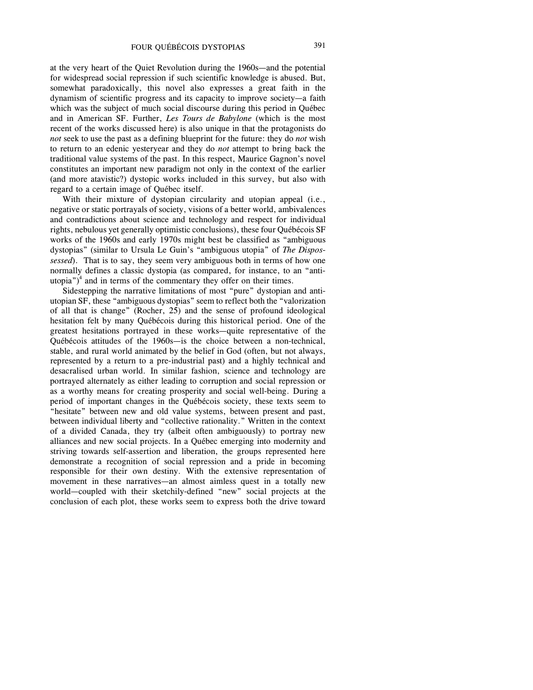at the very heart of the Quiet Revolution during the 1960s—and the potential for widespread social repression if such scientific knowledge is abused. But, somewhat paradoxically, this novel also expresses a great faith in the dynamism of scientific progress and its capacity to improve society—a faith which was the subject of much social discourse during this period in Québec and in American SF. Further, *Les Tours de Babylone* (which is the most recent of the works discussed here) is also unique in that the protagonists do *not* seek to use the past as a defining blueprint for the future: they do *not* wish to return to an edenic yesteryear and they do *not* attempt to bring back the traditional value systems of the past. In this respect, Maurice Gagnon's novel constitutes an important new paradigm not only in the context of the earlier (and more atavistic?) dystopic works included in this survey, but also with regard to a certain image of Québec itself.

With their mixture of dystopian circularity and utopian appeal (i.e., negative or static portrayals of society, visions of a better world, ambivalences and contradictions about science and technology and respect for individual rights, nebulous yet generally optimistic conclusions), these four Québécois SF works of the 1960s and early 1970s might best be classified as "ambiguous dystopias" (similar to Ursula Le Guin's "ambiguous utopia" of *The Dispossessed*). That is to say, they seem very ambiguous both in terms of how one normally defines a classic dystopia (as compared, for instance, to an "antiutopia") $4$  and in terms of the commentary they offer on their times.

Sidestepping the narrative limitations of most "pure" dystopian and antiutopian SF, these "ambiguous dystopias" seem to reflect both the "valorization of all that is change" (Rocher, 25) and the sense of profound ideological hesitation felt by many Québécois during this historical period. One of the greatest hesitations portrayed in these works—quite representative of the Québécois attitudes of the 1960s—is the choice between a non-technical, stable, and rural world animated by the belief in God (often, but not always, represented by a return to a pre-industrial past) and a highly technical and desacralised urban world. In similar fashion, science and technology are portrayed alternately as either leading to corruption and social repression or as a worthy means for creating prosperity and social well-being. During a period of important changes in the Québécois society, these texts seem to "hesitate" between new and old value systems, between present and past, between individual liberty and "collective rationality." Written in the context of a divided Canada, they try (albeit often ambiguously) to portray new alliances and new social projects. In a Québec emerging into modernity and striving towards self-assertion and liberation, the groups represented here demonstrate a recognition of social repression and a pride in becoming responsible for their own destiny. With the extensive representation of movement in these narratives—an almost aimless quest in a totally new world—coupled with their sketchily-defined "new" social projects at the conclusion of each plot, these works seem to express both the drive toward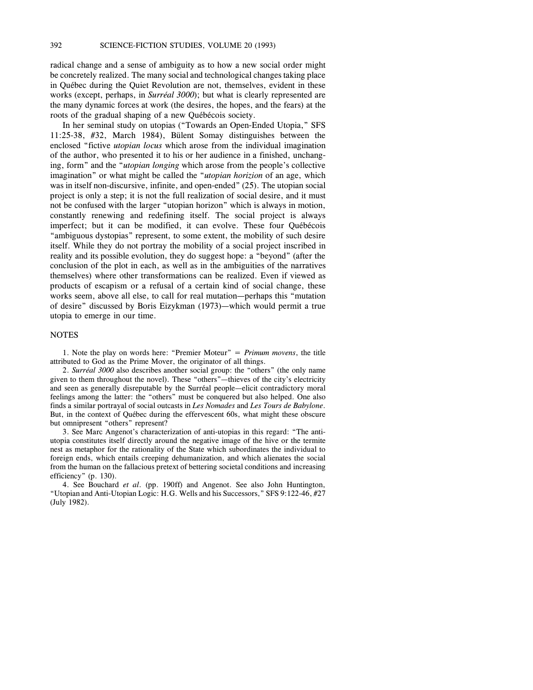radical change and a sense of ambiguity as to how a new social order might be concretely realized. The many social and technological changes taking place in Québec during the Quiet Revolution are not, themselves, evident in these works (except, perhaps, in *Surréal 3000*); but what is clearly represented are the many dynamic forces at work (the desires, the hopes, and the fears) at the roots of the gradual shaping of a new Québécois society.

In her seminal study on utopias ("Towards an Open-Ended Utopia," SFS 11:25-38, #32, March 1984), Bülent Somay distinguishes between the enclosed "fictive *utopian locus* which arose from the individual imagination of the author, who presented it to his or her audience in a finished, unchanging, form" and the "*utopian longing* which arose from the people's collective imagination" or what might be called the "*utopian horizion* of an age, which was in itself non-discursive, infinite, and open-ended" (25). The utopian social project is only a step; it is not the full realization of social desire, and it must not be confused with the larger "utopian horizon" which is always in motion, constantly renewing and redefining itself. The social project is always imperfect; but it can be modified, it can evolve. These four Québécois "ambiguous dystopias" represent, to some extent, the mobility of such desire itself. While they do not portray the mobility of a social project inscribed in reality and its possible evolution, they do suggest hope: a "beyond" (after the conclusion of the plot in each, as well as in the ambiguities of the narratives themselves) where other transformations can be realized. Even if viewed as products of escapism or a refusal of a certain kind of social change, these works seem, above all else, to call for real mutation—perhaps this "mutation of desire" discussed by Boris Eizykman (1973)—which would permit a true utopia to emerge in our time.

#### **NOTES**

1. Note the play on words here: "Premier Moteur" = *Primum movens*, the title attributed to God as the Prime Mover, the originator of all things.

2. *Surréal 3000* also describes another social group: the "others" (the only name given to them throughout the novel). These "others"—thieves of the city's electricity and seen as generally disreputable by the Surréal people—elicit contradictory moral feelings among the latter: the "others" must be conquered but also helped. One also finds a similar portrayal of social outcasts in *Les Nomades* and *Les Tours de Babylone*. But, in the context of Québec during the effervescent 60s, what might these obscure but omnipresent "others" represent?

3. See Marc Angenot's characterization of anti-utopias in this regard: "The antiutopia constitutes itself directly around the negative image of the hive or the termite nest as metaphor for the rationality of the State which subordinates the individual to foreign ends, which entails creeping dehumanization, and which alienates the social from the human on the fallacious pretext of bettering societal conditions and increasing efficiency" (p. 130).

4. See Bouchard *et al*. (pp. 190ff) and Angenot. See also John Huntington, "Utopian and Anti-Utopian Logic: H.G. Wells and his Successors," SFS 9:122-46, #27 (July 1982).